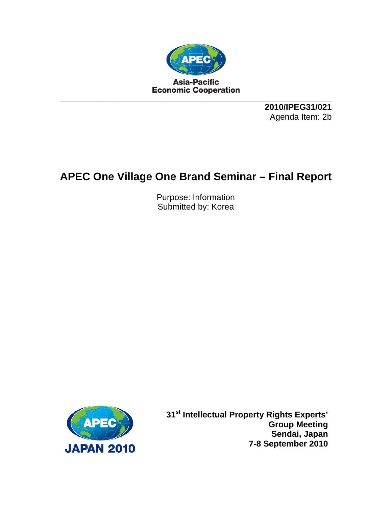

**2010/IPEG31/021**  Agenda Item: 2b

## **APEC One Village One Brand Seminar – Final Report**

Purpose: Information Submitted by: Korea



**31st Intellectual Property Rights Experts' Group Meeting Sendai, Japan 7-8 September 2010**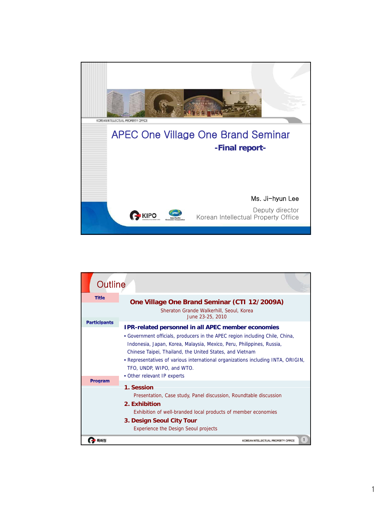

| Outline             |                                                                                                                                                                                                                                                                                                                                                                                                                                |
|---------------------|--------------------------------------------------------------------------------------------------------------------------------------------------------------------------------------------------------------------------------------------------------------------------------------------------------------------------------------------------------------------------------------------------------------------------------|
| <b>Title</b>        | One Village One Brand Seminar (CTI 12/2009A)<br>Sheraton Grande Walkerhill, Seoul, Korea<br>June 23-25, 2010                                                                                                                                                                                                                                                                                                                   |
| <b>Participants</b> | <b>IPR-related personnel in all APEC member economies</b><br>• Government officials, producers in the APEC region including Chile, China,<br>Indonesia, Japan, Korea, Malaysia, Mexico, Peru, Philippines, Russia,<br>Chinese Taipei, Thailand, the United States, and Vietnam<br>. Representatives of various international organizations including INTA, ORIGIN,<br>TFO, UNDP, WIPO, and WTO.<br>• Other relevant IP experts |
| <b>Program</b>      | 1. Session<br>Presentation, Case study, Panel discussion, Roundtable discussion<br>2. Exhibition<br>Exhibition of well-branded local products of member economies<br>3. Design Seoul City Tour<br><b>Experience the Design Seoul projects</b>                                                                                                                                                                                  |
| 허청                  | KOREAN INTELLECTUAL PROPERTY OFFICE                                                                                                                                                                                                                                                                                                                                                                                            |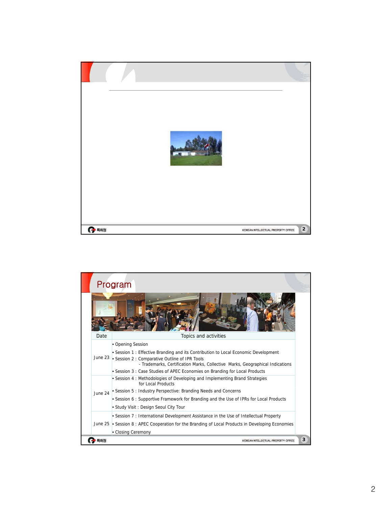

|         | Program                                                                                                                         |
|---------|---------------------------------------------------------------------------------------------------------------------------------|
|         |                                                                                                                                 |
| Date    | Topics and activities                                                                                                           |
| June 23 | • Opening Session                                                                                                               |
|         | • Session 1: Effective Branding and its Contribution to Local Economic Development                                              |
|         | • Session 2 : Comparative Outline of IPR Tools<br>- Trademarks, Certification Marks, Collective Marks, Geographical Indications |
|         | • Session 3: Case Studies of APEC Economies on Branding for Local Products                                                      |
| June 24 | • Session 4: Methodologies of Developing and Implementing Brand Strategies<br>for Local Products                                |
|         | • Session 5: Industry Perspective: Branding Needs and Concerns                                                                  |
|         | • Session 6: Supportive Framework for Branding and the Use of IPRs for Local Products                                           |
|         | • Study Visit: Design Seoul City Tour                                                                                           |
|         | • Session 7: International Development Assistance in the Use of Intellectual Property                                           |
|         | June 25 • Session 8 : APEC Cooperation for the Branding of Local Products in Developing Economies                               |
|         | • Closing Ceremony                                                                                                              |
| 특허청     | KOREAN INTELLECTUAL PROPERTY OFFICE                                                                                             |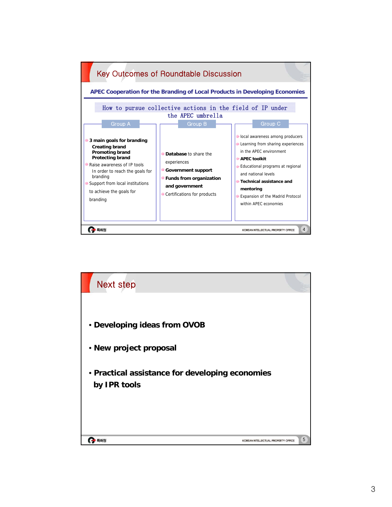